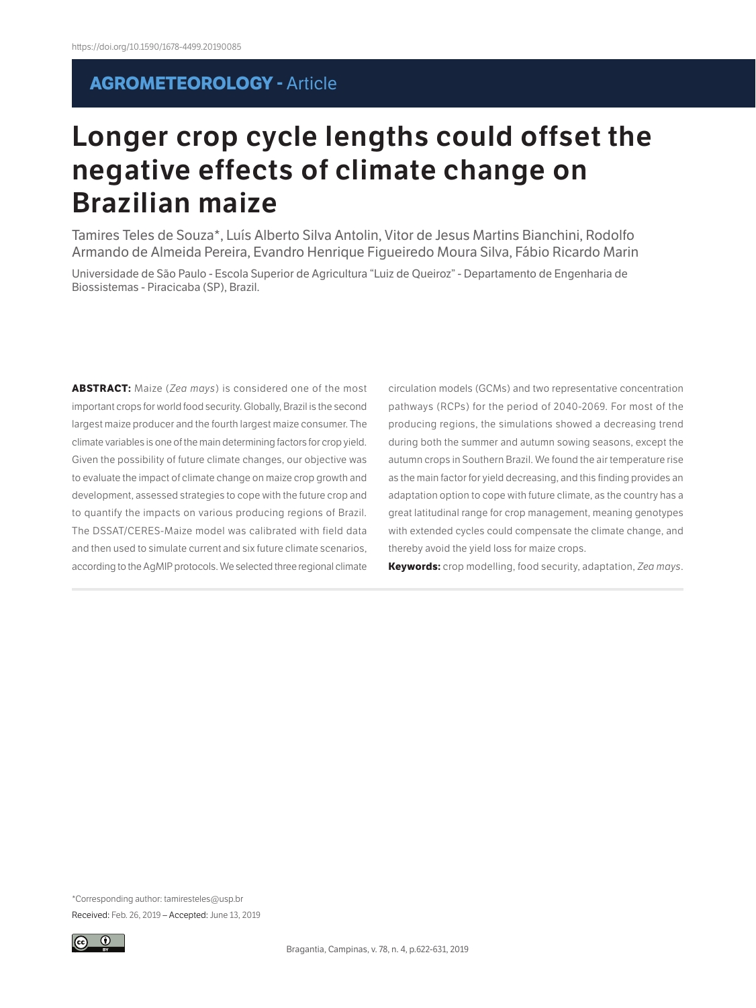## **AGROMETEOROLOGY -** Article

# **Longer crop cycle lengths could offset the negative effects of climate change on Brazilian maize**

Tamires Teles de Souza\*, Luís Alberto Silva Antolin, Vitor de Jesus Martins Bianchini, Rodolfo Armando de Almeida Pereira, Evandro Henrique Figueiredo Moura Silva, Fábio Ricardo Marin

Universidade de São Paulo - Escola Superior de Agricultura "Luiz de Queiroz" - Departamento de Engenharia de Biossistemas - Piracicaba (SP), Brazil.

**ABSTRACT:** Maize (*Zea mays*) is considered one of the most important crops for world food security. Globally, Brazil is the second largest maize producer and the fourth largest maize consumer. The climate variables is one of the main determining factors for crop yield. Given the possibility of future climate changes, our objective was to evaluate the impact of climate change on maize crop growth and development, assessed strategies to cope with the future crop and to quantify the impacts on various producing regions of Brazil. The DSSAT/CERES-Maize model was calibrated with field data and then used to simulate current and six future climate scenarios, according to the AgMIP protocols. We selected three regional climate circulation models (GCMs) and two representative concentration pathways (RCPs) for the period of 2040-2069. For most of the producing regions, the simulations showed a decreasing trend during both the summer and autumn sowing seasons, except the autumn crops in Southern Brazil. We found the air temperature rise as the main factor for yield decreasing, and this finding provides an adaptation option to cope with future climate, as the country has a great latitudinal range for crop management, meaning genotypes with extended cycles could compensate the climate change, and thereby avoid the yield loss for maize crops.

**Keywords:** crop modelling, food security, adaptation, *Zea mays*.

\*Corresponding author: tamiresteles@usp.br Received: Feb. 26, 2019 – Accepted: June 13, 2019

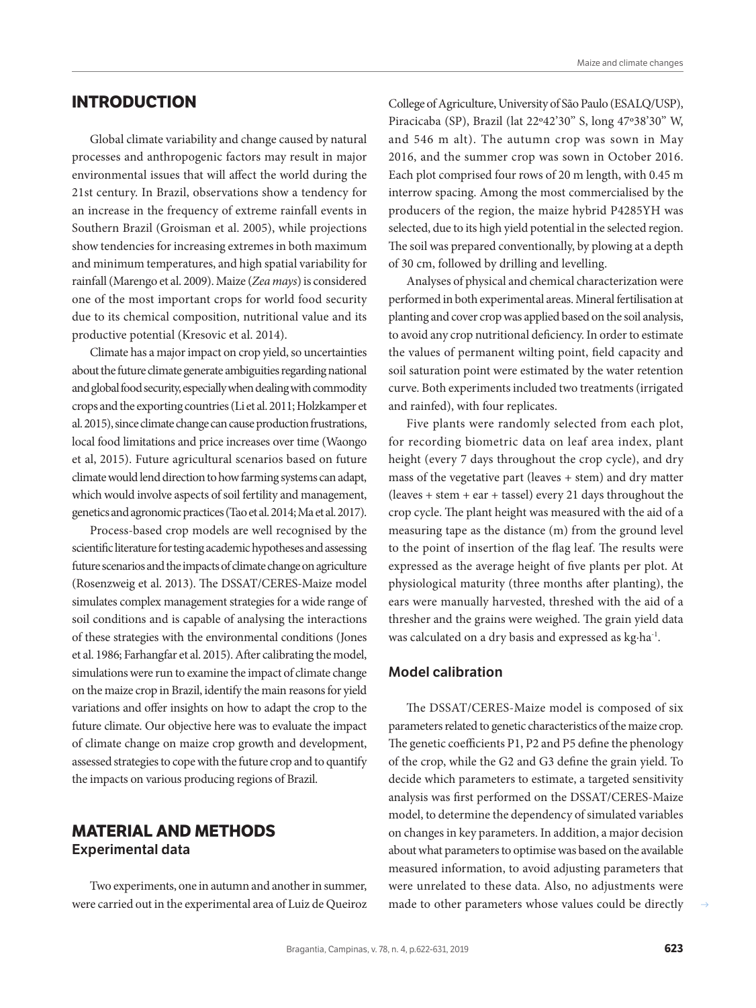Global climate variability and change caused by natural processes and anthropogenic factors may result in major environmental issues that will affect the world during the 21st century. In Brazil, observations show a tendency for an increase in the frequency of extreme rainfall events in Southern Brazil (Groisman et al. 2005), while projections show tendencies for increasing extremes in both maximum and minimum temperatures, and high spatial variability for rainfall (Marengo et al. 2009). Maize (*Zea mays*) is considered one of the most important crops for world food security due to its chemical composition, nutritional value and its productive potential (Kresovic et al. 2014).

Climate has a major impact on crop yield, so uncertainties about the future climate generate ambiguities regarding national and global food security, especially when dealing with commodity crops and the exporting countries (Li et al. 2011; Holzkamper et al. 2015), since climate change can cause production frustrations, local food limitations and price increases over time (Waongo et al, 2015). Future agricultural scenarios based on future climate would lend direction to how farming systems can adapt, which would involve aspects of soil fertility and management, genetics and agronomic practices (Tao et al. 2014; Ma et al. 2017).

Process-based crop models are well recognised by the scientific literature for testing academic hypotheses and assessing future scenarios and the impacts of climate change on agriculture (Rosenzweig et al. 2013). The DSSAT/CERES-Maize model simulates complex management strategies for a wide range of soil conditions and is capable of analysing the interactions of these strategies with the environmental conditions (Jones et al. 1986; Farhangfar et al. 2015). After calibrating the model, simulations were run to examine the impact of climate change on the maize crop in Brazil, identify the main reasons for yield variations and offer insights on how to adapt the crop to the future climate. Our objective here was to evaluate the impact of climate change on maize crop growth and development, assessed strategies to cope with the future crop and to quantify the impacts on various producing regions of Brazil.

### **MATERIAL AND METHODS Experimental data**

Two experiments, one in autumn and another in summer, were carried out in the experimental area of Luiz de Queiroz

College of Agriculture, University of São Paulo (ESALQ/USP), Piracicaba (SP), Brazil (lat 22º42'30'' S, long 47º38'30'' W, and 546 m alt). The autumn crop was sown in May 2016, and the summer crop was sown in October 2016. Each plot comprised four rows of 20 m length, with 0.45 m interrow spacing. Among the most commercialised by the producers of the region, the maize hybrid P4285YH was selected, due to its high yield potential in the selected region. The soil was prepared conventionally, by plowing at a depth of 30 cm, followed by drilling and levelling.

Analyses of physical and chemical characterization were performed in both experimental areas. Mineral fertilisation at planting and cover crop was applied based on the soil analysis, to avoid any crop nutritional deficiency. In order to estimate the values of permanent wilting point, field capacity and soil saturation point were estimated by the water retention curve. Both experiments included two treatments (irrigated and rainfed), with four replicates.

Five plants were randomly selected from each plot, for recording biometric data on leaf area index, plant height (every 7 days throughout the crop cycle), and dry mass of the vegetative part (leaves + stem) and dry matter  $($  leaves + stem + ear + tassel $)$  every 21 days throughout the crop cycle. The plant height was measured with the aid of a measuring tape as the distance (m) from the ground level to the point of insertion of the flag leaf. The results were expressed as the average height of five plants per plot. At physiological maturity (three months after planting), the ears were manually harvested, threshed with the aid of a thresher and the grains were weighed. The grain yield data was calculated on a dry basis and expressed as kg*∙*ha-1.

#### **Model calibration**

The DSSAT/CERES-Maize model is composed of six parameters related to genetic characteristics of the maize crop. The genetic coefficients P1, P2 and P5 define the phenology of the crop, while the G2 and G3 define the grain yield. To decide which parameters to estimate, a targeted sensitivity analysis was first performed on the DSSAT/CERES-Maize model, to determine the dependency of simulated variables on changes in key parameters. In addition, a major decision about what parameters to optimise was based on the available measured information, to avoid adjusting parameters that were unrelated to these data. Also, no adjustments were made to other parameters whose values could be directly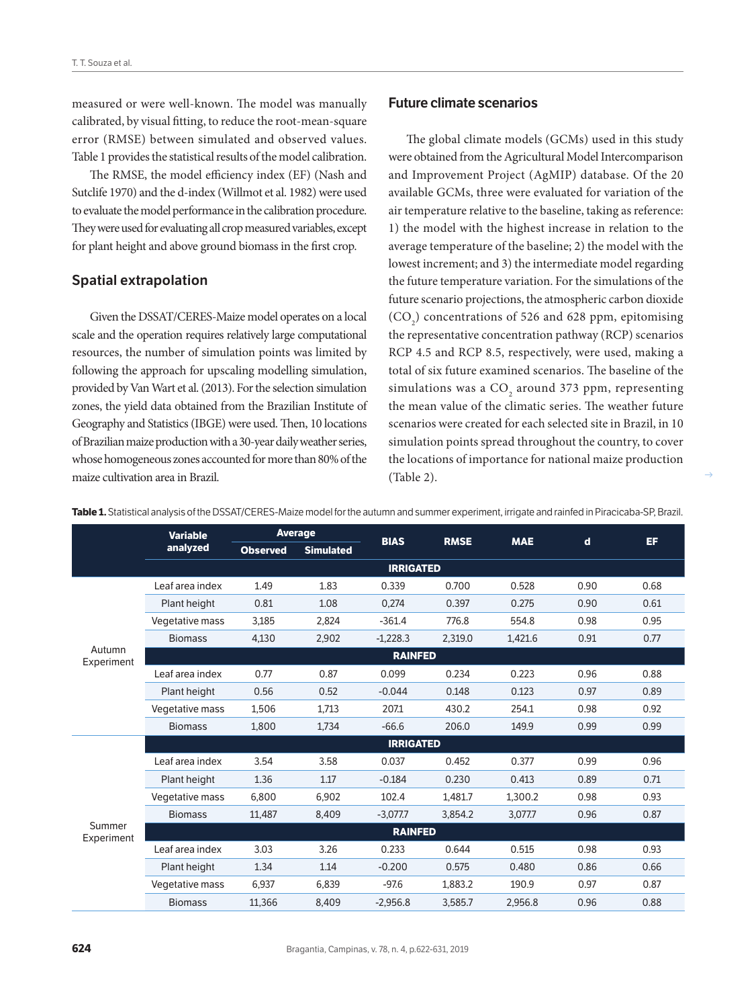measured or were well-known. The model was manually calibrated, by visual fitting, to reduce the root-mean-square error (RMSE) between simulated and observed values. Table 1 provides the statistical results of the model calibration.

The RMSE, the model efficiency index (EF) (Nash and Sutclife 1970) and the d-index (Willmot et al. 1982) were used to evaluate the model performance in the calibration procedure. They were used for evaluating all crop measured variables, except for plant height and above ground biomass in the first crop.

#### **Spatial extrapolation**

Given the DSSAT/CERES-Maize model operates on a local scale and the operation requires relatively large computational resources, the number of simulation points was limited by following the approach for upscaling modelling simulation, provided by Van Wart et al. (2013). For the selection simulation zones, the yield data obtained from the Brazilian Institute of Geography and Statistics (IBGE) were used. Then, 10 locations of Brazilian maize production with a 30-year daily weather series, whose homogeneous zones accounted for more than 80% of the maize cultivation area in Brazil.

#### **Future climate scenarios**

The global climate models (GCMs) used in this study were obtained from the Agricultural Model Intercomparison and Improvement Project (AgMIP) database. Of the 20 available GCMs, three were evaluated for variation of the air temperature relative to the baseline, taking as reference: 1) the model with the highest increase in relation to the average temperature of the baseline; 2) the model with the lowest increment; and 3) the intermediate model regarding the future temperature variation. For the simulations of the future scenario projections, the atmospheric carbon dioxide  $(CO<sub>2</sub>)$  concentrations of 526 and 628 ppm, epitomising the representative concentration pathway (RCP) scenarios RCP 4.5 and RCP 8.5, respectively, were used, making a total of six future examined scenarios. The baseline of the simulations was a  $\mathrm{CO}_2$  around 373 ppm, representing the mean value of the climatic series. The weather future scenarios were created for each selected site in Brazil, in 10 simulation points spread throughout the country, to cover the locations of importance for national maize production (Table 2).

|                      | <b>Variable</b><br>analyzed | <b>Average</b>   |                  |             |             |            |             |      |  |
|----------------------|-----------------------------|------------------|------------------|-------------|-------------|------------|-------------|------|--|
|                      |                             | <b>Observed</b>  | <b>Simulated</b> | <b>BIAS</b> | <b>RMSE</b> | <b>MAE</b> | $\mathbf d$ | EF.  |  |
|                      |                             | <b>IRRIGATED</b> |                  |             |             |            |             |      |  |
|                      | Leaf area index             | 1.49             | 1.83             | 0.339       | 0.700       | 0.528      | 0.90        | 0.68 |  |
|                      | Plant height                | 0.81             | 1.08             | 0,274       | 0.397       | 0.275      | 0.90        | 0.61 |  |
|                      | Vegetative mass             | 3,185            | 2,824            | $-361.4$    | 776.8       | 554.8      | 0.98        | 0.95 |  |
|                      | <b>Biomass</b>              | 4.130            | 2.902            | $-1,228.3$  | 2,319.0     | 1,421.6    | 0.91        | 0.77 |  |
| Autumn<br>Experiment | <b>RAINFED</b>              |                  |                  |             |             |            |             |      |  |
|                      | Leaf area index             | 0.77             | 0.87             | 0.099       | 0.234       | 0.223      | 0.96        | 0.88 |  |
|                      | Plant height                | 0.56             | 0.52             | $-0.044$    | 0.148       | 0.123      | 0.97        | 0.89 |  |
|                      | Vegetative mass             | 1,506            | 1,713            | 207.1       | 430.2       | 254.1      | 0.98        | 0.92 |  |
|                      | <b>Biomass</b>              | 1.800            | 1.734            | $-66.6$     | 206.0       | 149.9      | 0.99        | 0.99 |  |
|                      | <b>IRRIGATED</b>            |                  |                  |             |             |            |             |      |  |
| Summer<br>Experiment | Leaf area index             | 3.54             | 3.58             | 0.037       | 0.452       | 0.377      | 0.99        | 0.96 |  |
|                      | Plant height                | 1.36             | 1.17             | $-0.184$    | 0.230       | 0.413      | 0.89        | 0.71 |  |
|                      | Vegetative mass             | 6.800            | 6,902            | 102.4       | 1.481.7     | 1.300.2    | 0.98        | 0.93 |  |
|                      | <b>Biomass</b>              | 11,487           | 8,409            | $-3,077.7$  | 3,854.2     | 3,077.7    | 0.96        | 0.87 |  |
|                      | <b>RAINFED</b>              |                  |                  |             |             |            |             |      |  |
|                      | Leaf area index             | 3.03             | 3.26             | 0.233       | 0.644       | 0.515      | 0.98        | 0.93 |  |
|                      | Plant height                | 1.34             | 1.14             | $-0.200$    | 0.575       | 0.480      | 0.86        | 0.66 |  |
|                      | Vegetative mass             | 6.937            | 6.839            | $-97.6$     | 1,883.2     | 190.9      | 0.97        | 0.87 |  |
|                      | <b>Biomass</b>              | 11.366           | 8.409            | $-2,956.8$  | 3.585.7     | 2.956.8    | 0.96        | 0.88 |  |

**Table 1.** Statistical analysis of the DSSAT/CERES-Maize model for the autumn and summer experiment, irrigate and rainfed in Piracicaba-SP, Brazil.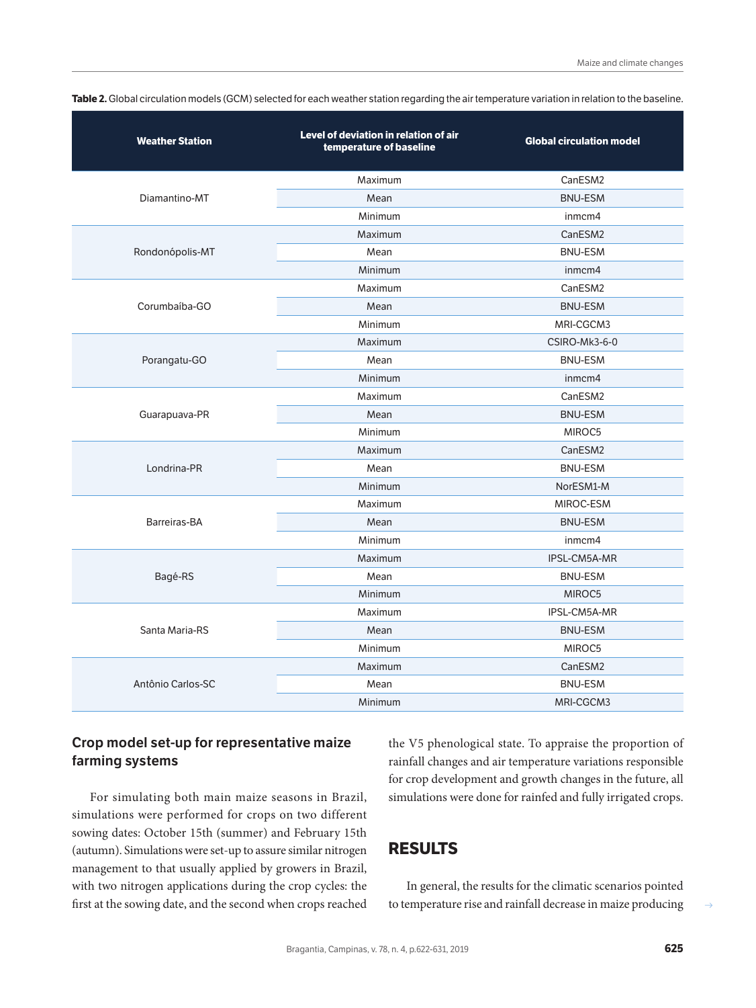| <b>Weather Station</b> | Level of deviation in relation of air<br>temperature of baseline | <b>Global circulation model</b> |  |  |  |
|------------------------|------------------------------------------------------------------|---------------------------------|--|--|--|
|                        | Maximum                                                          | CanESM2                         |  |  |  |
| Diamantino-MT          | Mean                                                             | <b>BNU-ESM</b>                  |  |  |  |
|                        | Minimum                                                          | inmcm4                          |  |  |  |
|                        | Maximum                                                          | CanESM2                         |  |  |  |
| Rondonópolis-MT        | Mean                                                             | <b>BNU-ESM</b>                  |  |  |  |
|                        | Minimum                                                          | inmcm4                          |  |  |  |
|                        | Maximum                                                          | CanESM2                         |  |  |  |
| Corumbaíba-GO          | Mean                                                             | <b>BNU-ESM</b>                  |  |  |  |
|                        | Minimum                                                          | MRI-CGCM3                       |  |  |  |
|                        | Maximum                                                          | CSIRO-Mk3-6-0                   |  |  |  |
| Porangatu-GO           | Mean                                                             | <b>BNU-ESM</b>                  |  |  |  |
|                        | Minimum                                                          | inmcm4                          |  |  |  |
|                        | Maximum                                                          | CanESM2                         |  |  |  |
| Guarapuava-PR          | Mean                                                             | <b>BNU-ESM</b>                  |  |  |  |
|                        | Minimum                                                          | MIROC5                          |  |  |  |
|                        | Maximum                                                          | CanESM2                         |  |  |  |
| Londrina-PR            | Mean                                                             | <b>BNU-ESM</b>                  |  |  |  |
|                        | Minimum                                                          | NorESM1-M                       |  |  |  |
|                        | Maximum                                                          | MIROC-ESM                       |  |  |  |
| Barreiras-BA           | Mean                                                             | <b>BNU-ESM</b>                  |  |  |  |
|                        | Minimum                                                          | inmcm4                          |  |  |  |
|                        | Maximum                                                          | IPSL-CM5A-MR                    |  |  |  |
| Bagé-RS                | Mean                                                             | <b>BNU-ESM</b>                  |  |  |  |
|                        | Minimum                                                          | MIROC5                          |  |  |  |
|                        | Maximum                                                          | IPSL-CM5A-MR                    |  |  |  |
| Santa Maria-RS         | Mean                                                             | <b>BNU-ESM</b>                  |  |  |  |
|                        | Minimum                                                          | MIROC5                          |  |  |  |
|                        | Maximum                                                          | CanESM2                         |  |  |  |
| Antônio Carlos-SC      | Mean                                                             | <b>BNU-ESM</b>                  |  |  |  |
|                        | Minimum                                                          | MRI-CGCM3                       |  |  |  |

**Table 2.** Global circulation models (GCM) selected for each weather station regarding the air temperature variation in relation to the baseline.

#### **Crop model set-up for representative maize farming systems**

For simulating both main maize seasons in Brazil, simulations were performed for crops on two different sowing dates: October 15th (summer) and February 15th (autumn). Simulations were set-up to assure similar nitrogen management to that usually applied by growers in Brazil, with two nitrogen applications during the crop cycles: the first at the sowing date, and the second when crops reached the V5 phenological state. To appraise the proportion of rainfall changes and air temperature variations responsible for crop development and growth changes in the future, all simulations were done for rainfed and fully irrigated crops.

#### **RESULTS**

In general, the results for the climatic scenarios pointed to temperature rise and rainfall decrease in maize producing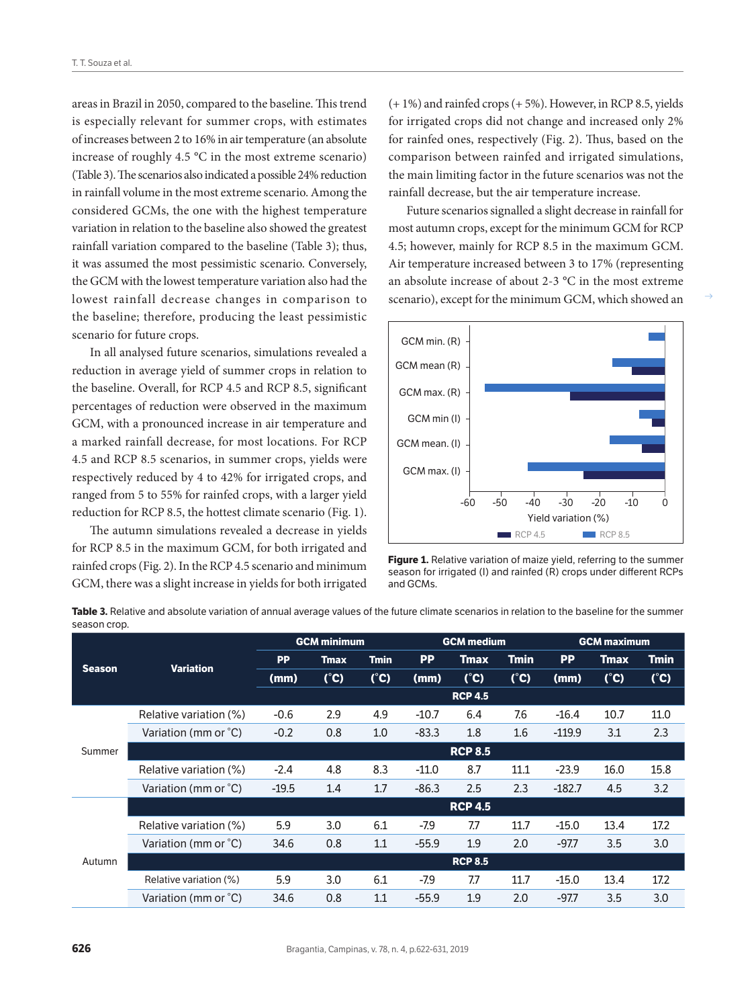areas in Brazil in 2050, compared to the baseline. This trend is especially relevant for summer crops, with estimates of increases between 2 to 16% in air temperature (an absolute increase of roughly 4.5 °C in the most extreme scenario) (Table 3). The scenarios also indicated a possible 24% reduction in rainfall volume in the most extreme scenario. Among the considered GCMs, the one with the highest temperature variation in relation to the baseline also showed the greatest rainfall variation compared to the baseline (Table 3); thus, it was assumed the most pessimistic scenario. Conversely, the GCM with the lowest temperature variation also had the lowest rainfall decrease changes in comparison to the baseline; therefore, producing the least pessimistic scenario for future crops.

In all analysed future scenarios, simulations revealed a reduction in average yield of summer crops in relation to the baseline. Overall, for RCP 4.5 and RCP 8.5, significant percentages of reduction were observed in the maximum GCM, with a pronounced increase in air temperature and a marked rainfall decrease, for most locations. For RCP 4.5 and RCP 8.5 scenarios, in summer crops, yields were respectively reduced by 4 to 42% for irrigated crops, and ranged from 5 to 55% for rainfed crops, with a larger yield reduction for RCP 8.5, the hottest climate scenario (Fig. 1).

The autumn simulations revealed a decrease in yields for RCP 8.5 in the maximum GCM, for both irrigated and rainfed crops (Fig. 2). In the RCP 4.5 scenario and minimum GCM, there was a slight increase in yields for both irrigated (+ 1%) and rainfed crops (+ 5%). However, in RCP 8.5, yields for irrigated crops did not change and increased only 2% for rainfed ones, respectively (Fig. 2). Thus, based on the comparison between rainfed and irrigated simulations, the main limiting factor in the future scenarios was not the rainfall decrease, but the air temperature increase.

Future scenarios signalled a slight decrease in rainfall for most autumn crops, except for the minimum GCM for RCP 4.5; however, mainly for RCP 8.5 in the maximum GCM. Air temperature increased between 3 to 17% (representing an absolute increase of about 2-3 °C in the most extreme scenario), except for the minimum GCM, which showed an



Figure 1. Relative variation of maize yield, referring to the summer season for irrigated (I) and rainfed (R) crops under different RCPs and GCMs.

|               | <b>Variation</b>       | <b>GCM minimum</b> |               |               | <b>GCM</b> medium |                |             | <b>GCM maximum</b> |             |      |
|---------------|------------------------|--------------------|---------------|---------------|-------------------|----------------|-------------|--------------------|-------------|------|
| <b>Season</b> |                        | <b>PP</b>          | <b>Tmax</b>   | <b>Tmin</b>   | <b>PP</b>         | Tmax           | <b>Tmin</b> | <b>PP</b>          | <b>Tmax</b> | Tmin |
|               |                        | (mm)               | $(^{\circ}C)$ | $(^{\circ}C)$ | (mm)              | (°C)           | (°C)        | (mm)               | (°C)        | (°C) |
|               |                        |                    |               |               |                   | <b>RCP 4.5</b> |             |                    |             |      |
| Summer        | Relative variation (%) | $-0.6$             | 2.9           | 4.9           | $-10.7$           | 6.4            | 7.6         | $-16.4$            | 10.7        | 11.0 |
|               | Variation (mm or °C)   | $-0.2$             | 0.8           | 1.0           | $-83.3$           | 1.8            | 1.6         | $-119.9$           | 3.1         | 2.3  |
|               |                        | <b>RCP 8.5</b>     |               |               |                   |                |             |                    |             |      |
|               | Relative variation (%) | $-2.4$             | 4.8           | 8.3           | $-11.0$           | 8.7            | 11.1        | $-23.9$            | 16.0        | 15.8 |
|               | Variation (mm or °C)   | $-19.5$            | 1.4           | 1.7           | $-86.3$           | 2.5            | 2.3         | $-182.7$           | 4.5         | 3.2  |
|               |                        | <b>RCP 4.5</b>     |               |               |                   |                |             |                    |             |      |
| Autumn        | Relative variation (%) | 5.9                | 3.0           | 6.1           | $-7.9$            | 7.7            | 11.7        | $-15.0$            | 13.4        | 17.2 |
|               | Variation (mm or °C)   | 34.6               | 0.8           | 1.1           | $-55.9$           | 1.9            | 2.0         | $-97.7$            | 3.5         | 3.0  |
|               |                        | <b>RCP 8.5</b>     |               |               |                   |                |             |                    |             |      |
|               | Relative variation (%) | 5.9                | 3.0           | 6.1           | $-7.9$            | 7.7            | 11.7        | $-15.0$            | 13.4        | 17.2 |
|               | Variation (mm or °C)   | 34.6               | 0.8           | 1.1           | $-55.9$           | 1.9            | 2.0         | $-97.7$            | 3.5         | 3.0  |

**Table 3.** Relative and absolute variation of annual average values of the future climate scenarios in relation to the baseline for the summer season crop.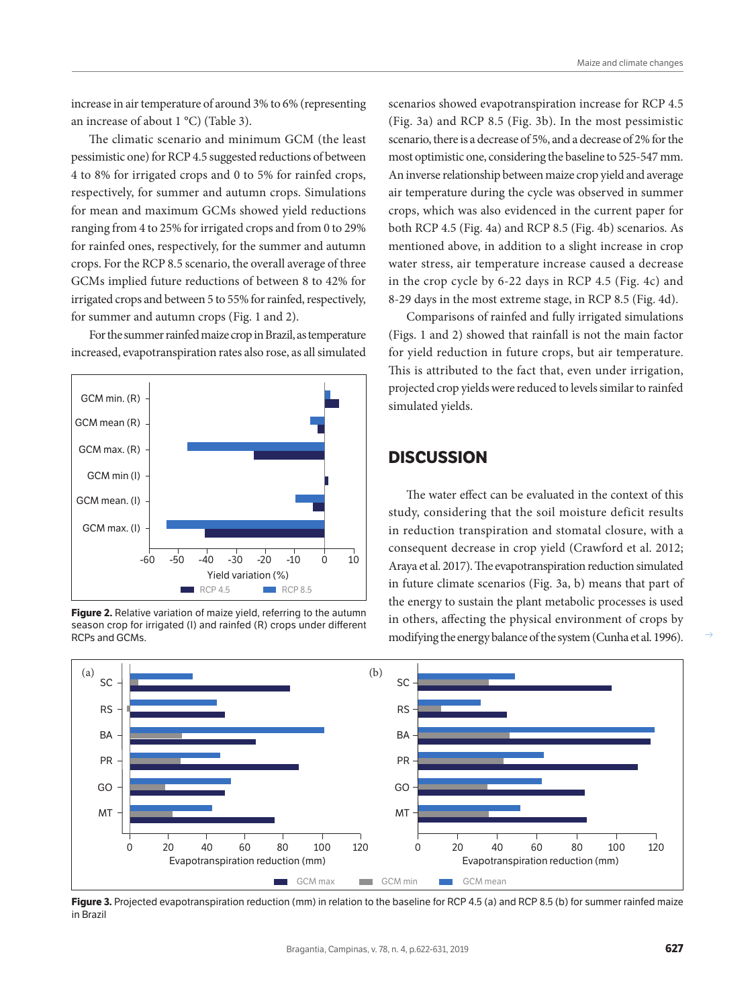increase in air temperature of around 3% to 6% (representing an increase of about 1 °C) (Table 3).

The climatic scenario and minimum GCM (the least pessimistic one) for RCP 4.5 suggested reductions of between 4 to 8% for irrigated crops and 0 to 5% for rainfed crops, respectively, for summer and autumn crops. Simulations for mean and maximum GCMs showed yield reductions ranging from 4 to 25% for irrigated crops and from 0 to 29% for rainfed ones, respectively, for the summer and autumn crops. For the RCP 8.5 scenario, the overall average of three GCMs implied future reductions of between 8 to 42% for irrigated crops and between 5 to 55% for rainfed, respectively, for summer and autumn crops (Fig. 1 and 2).

For the summer rainfed maize crop in Brazil, as temperature increased, evapotranspiration rates also rose, as all simulated



**Figure 2.** Relative variation of maize yield, referring to the autumn season crop for irrigated (I) and rainfed (R) crops under different RCPs and GCMs.

scenarios showed evapotranspiration increase for RCP 4.5 (Fig. 3a) and RCP 8.5 (Fig. 3b). In the most pessimistic scenario, there is a decrease of 5%, and a decrease of 2% for the most optimistic one, considering the baseline to 525-547 mm. An inverse relationship between maize crop yield and average air temperature during the cycle was observed in summer crops, which was also evidenced in the current paper for both RCP 4.5 (Fig. 4a) and RCP 8.5 (Fig. 4b) scenarios. As mentioned above, in addition to a slight increase in crop water stress, air temperature increase caused a decrease in the crop cycle by 6-22 days in RCP 4.5 (Fig. 4c) and 8-29 days in the most extreme stage, in RCP 8.5 (Fig. 4d).

Comparisons of rainfed and fully irrigated simulations (Figs. 1 and 2) showed that rainfall is not the main factor for yield reduction in future crops, but air temperature. This is attributed to the fact that, even under irrigation, projected crop yields were reduced to levels similar to rainfed simulated yields.

## **DISCUSSION**

The water effect can be evaluated in the context of this study, considering that the soil moisture deficit results in reduction transpiration and stomatal closure, with a consequent decrease in crop yield (Crawford et al. 2012; Araya et al. 2017). The evapotranspiration reduction simulated in future climate scenarios (Fig. 3a, b) means that part of the energy to sustain the plant metabolic processes is used in others, affecting the physical environment of crops by modifying the energy balance of the system (Cunha et al. 1996).



**Figure 3.** Projected evapotranspiration reduction (mm) in relation to the baseline for RCP 4.5 (a) and RCP 8.5 (b) for summer rainfed maize in Brazil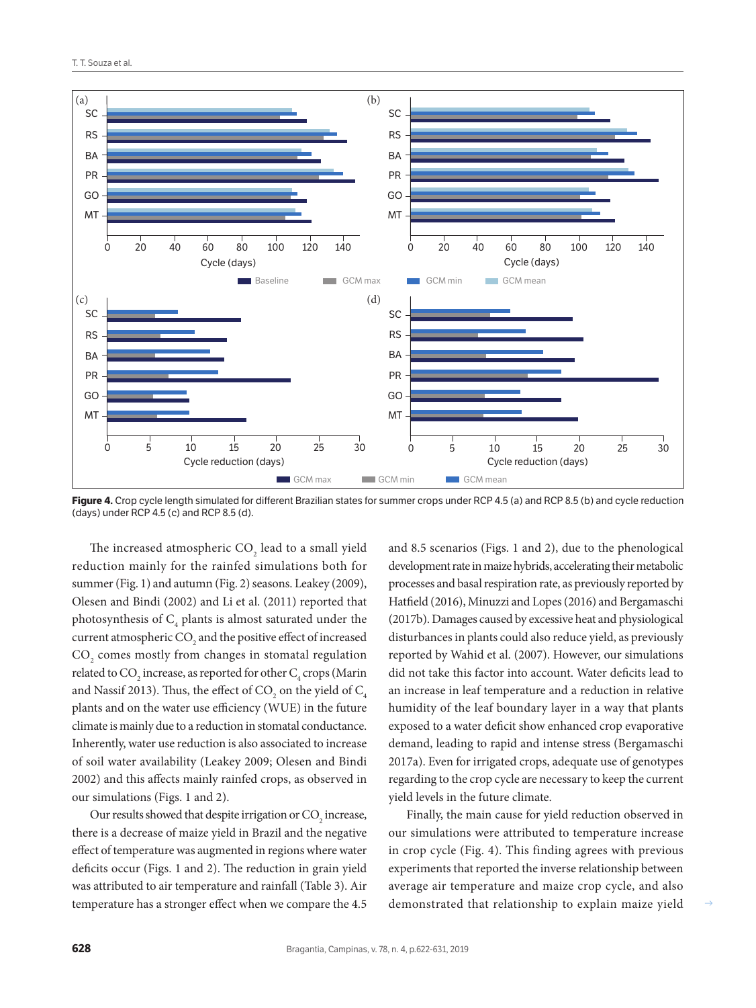

**Figure 4.** Crop cycle length simulated for different Brazilian states for summer crops under RCP 4.5 (a) and RCP 8.5 (b) and cycle reduction (days) under RCP 4.5 (c) and RCP 8.5 (d).

The increased atmospheric  $\mathrm{CO}_2$  lead to a small yield reduction mainly for the rainfed simulations both for summer (Fig. 1) and autumn (Fig. 2) seasons. Leakey (2009), Olesen and Bindi (2002) and Li et al. (2011) reported that photosynthesis of  $C_4$  plants is almost saturated under the current atmospheric  $\mathrm{CO}_2$  and the positive effect of increased  $\mathrm{CO}_\mathrm{2}$  comes mostly from changes in stomatal regulation related to CO<sub>2</sub> increase, as reported for other  $\text{C}_4$  crops (Marin and Nassif 2013). Thus, the effect of CO<sub>2</sub> on the yield of  $\mathrm{C}_4$ plants and on the water use efficiency (WUE) in the future climate is mainly due to a reduction in stomatal conductance. Inherently, water use reduction is also associated to increase of soil water availability (Leakey 2009; Olesen and Bindi 2002) and this affects mainly rainfed crops, as observed in our simulations (Figs. 1 and 2).

Our results showed that despite irrigation or  $\mathrm{CO}_2$  increase, there is a decrease of maize yield in Brazil and the negative effect of temperature was augmented in regions where water deficits occur (Figs. 1 and 2). The reduction in grain yield was attributed to air temperature and rainfall (Table 3). Air temperature has a stronger effect when we compare the 4.5

and 8.5 scenarios (Figs. 1 and 2), due to the phenological development rate in maize hybrids, accelerating their metabolic processes and basal respiration rate, as previously reported by Hatfield (2016), Minuzzi and Lopes (2016) and Bergamaschi (2017b). Damages caused by excessive heat and physiological disturbances in plants could also reduce yield, as previously reported by Wahid et al. (2007). However, our simulations did not take this factor into account. Water deficits lead to an increase in leaf temperature and a reduction in relative humidity of the leaf boundary layer in a way that plants exposed to a water deficit show enhanced crop evaporative demand, leading to rapid and intense stress (Bergamaschi 2017a). Even for irrigated crops, adequate use of genotypes regarding to the crop cycle are necessary to keep the current yield levels in the future climate.

Finally, the main cause for yield reduction observed in our simulations were attributed to temperature increase in crop cycle (Fig. 4). This finding agrees with previous experiments that reported the inverse relationship between average air temperature and maize crop cycle, and also demonstrated that relationship to explain maize yield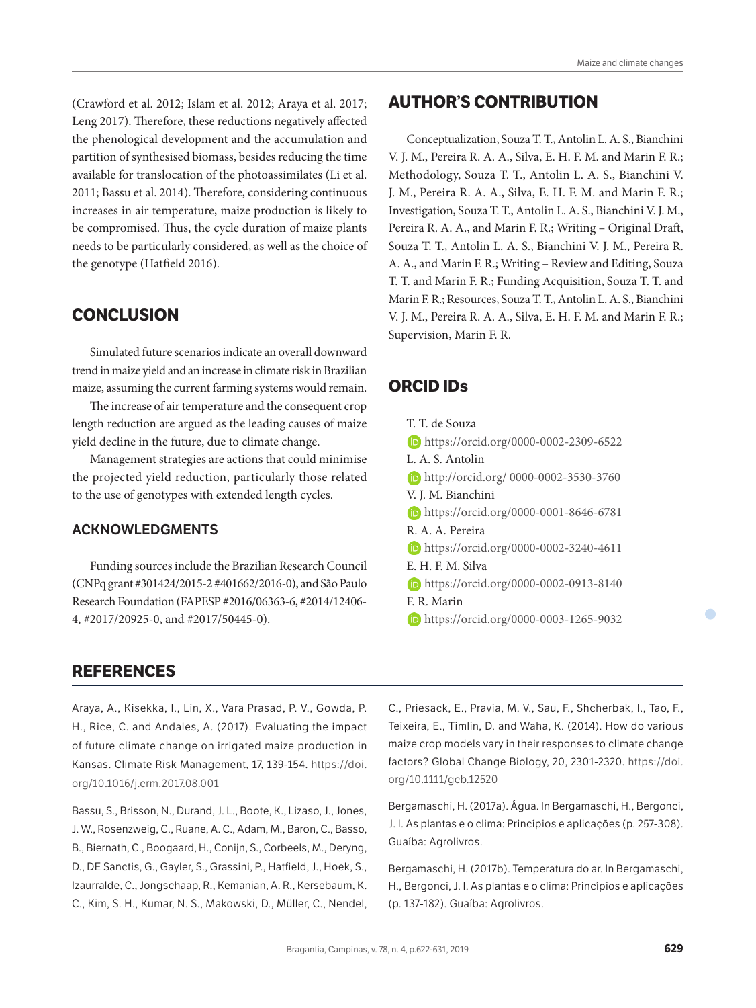(Crawford et al. 2012; Islam et al. 2012; Araya et al. 2017; Leng 2017). Therefore, these reductions negatively affected the phenological development and the accumulation and partition of synthesised biomass, besides reducing the time available for translocation of the photoassimilates (Li et al. 2011; Bassu et al. 2014). Therefore, considering continuous increases in air temperature, maize production is likely to be compromised. Thus, the cycle duration of maize plants needs to be particularly considered, as well as the choice of the genotype (Hatfield 2016).

## **CONCLUSION**

Simulated future scenarios indicate an overall downward trend in maize yield and an increase in climate risk in Brazilian maize, assuming the current farming systems would remain.

The increase of air temperature and the consequent crop length reduction are argued as the leading causes of maize yield decline in the future, due to climate change.

Management strategies are actions that could minimise the projected yield reduction, particularly those related to the use of genotypes with extended length cycles.

#### **ACKNOWLEDGMENTS**

Funding sources include the Brazilian Research Council (CNPq grant #301424/2015-2 #401662/2016-0), and São Paulo Research Foundation (FAPESP #2016/06363-6, #2014/12406- 4, #2017/20925-0, and #2017/50445-0).

#### **AUTHOR'S CONTRIBUTION**

Conceptualization, Souza T. T., Antolin L. A. S., Bianchini V. J. M., Pereira R. A. A., Silva, E. H. F. M. and Marin F. R.; Methodology, Souza T. T., Antolin L. A. S., Bianchini V. J. M., Pereira R. A. A., Silva, E. H. F. M. and Marin F. R.; Investigation, Souza T. T., Antolin L. A. S., Bianchini V. J. M., Pereira R. A. A., and Marin F. R.; Writing - Original Draft, Souza T. T., Antolin L. A. S., Bianchini V. J. M., Pereira R. A. A., and Marin F. R.; Writing – Review and Editing, Souza T. T. and Marin F. R.; Funding Acquisition, Souza T. T. and Marin F. R.; Resources, Souza T. T., Antolin L. A. S., Bianchini V. J. M., Pereira R. A. A., Silva, E. H. F. M. and Marin F. R.; Supervision, Marin F. R.

#### **ORCID IDs**

- T. T. de Souza https://orcid.org/0000-0002-2309-6522 L. A. S. Antolin http://orcid.org/ 0000-0002-3530-3760 V. J. M. Bianchini https://orcid.org/0000-0001-8646-6781 R. A. A. Pereira https://orcid.org/0000-0002-3240-4611 E. H. F. M. Silva https://orcid.org/0000-0002-0913-8140 F. R. Marin
	- https://orcid.org/0000-0003-1265-9032

#### **REFERENCES**

Araya, A., Kisekka, I., Lin, X., Vara Prasad, P. V., Gowda, P. H., Rice, C. and Andales, A. (2017). Evaluating the impact of future climate change on irrigated maize production in Kansas. Climate Risk Management, 17, 139-154. https://doi. org/10.1016/j.crm.2017.08.001

Bassu, S., Brisson, N., Durand, J. L., Boote, K., Lizaso, J., Jones, J. W., Rosenzweig, C., Ruane, A. C., Adam, M., Baron, C., Basso, B., Biernath, C., Boogaard, H., Conijn, S., Corbeels, M., Deryng, D., DE Sanctis, G., Gayler, S., Grassini, P., Hatfield, J., Hoek, S., Izaurralde, C., Jongschaap, R., Kemanian, A. R., Kersebaum, K. C., Kim, S. H., Kumar, N. S., Makowski, D., Müller, C., Nendel, C., Priesack, E., Pravia, M. V., Sau, F., Shcherbak, I., Tao, F., Teixeira, E., Timlin, D. and Waha, K. (2014). How do various maize crop models vary in their responses to climate change factors? Global Change Biology, 20, 2301-2320. https://doi. org/10.1111/gcb.12520

Bergamaschi, H. (2017a). Água. In Bergamaschi, H., Bergonci, J. I. As plantas e o clima: Princípios e aplicações (p. 257-308). Guaíba: Agrolivros.

Bergamaschi, H. (2017b). Temperatura do ar. In Bergamaschi, H., Bergonci, J. I. As plantas e o clima: Princípios e aplicações (p. 137-182). Guaíba: Agrolivros.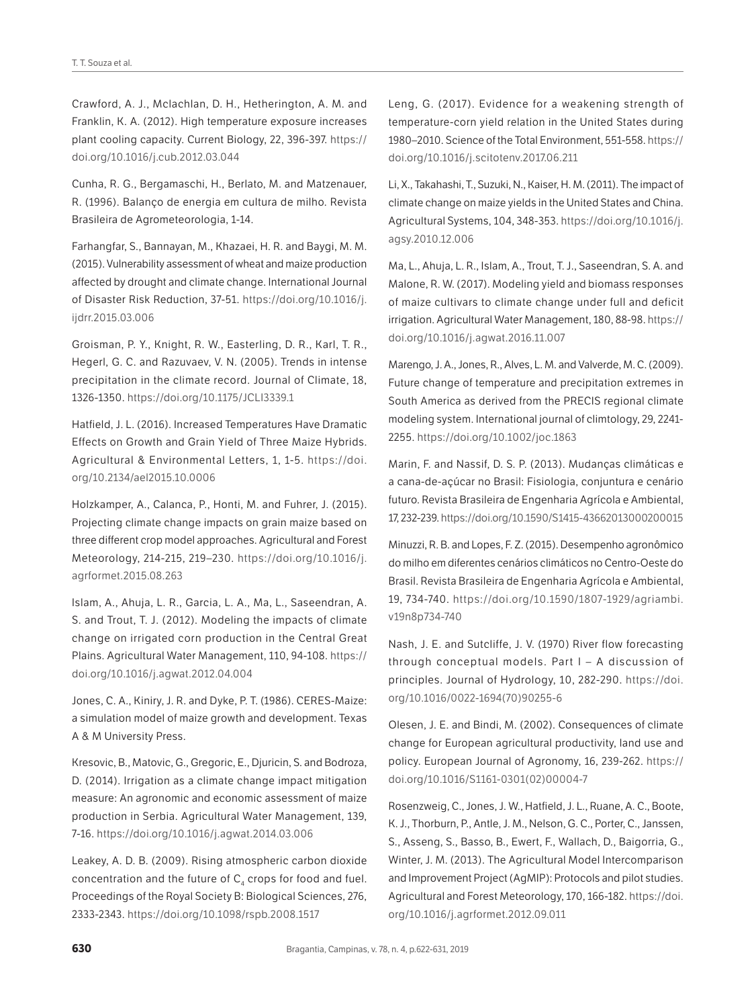Crawford, A. J., Mclachlan, D. H., Hetherington, A. M. and Franklin, K. A. (2012). High temperature exposure increases plant cooling capacity. Current Biology, 22, 396-397. https:// doi.org/10.1016/j.cub.2012.03.044

Cunha, R. G., Bergamaschi, H., Berlato, M. and Matzenauer, R. (1996). Balanço de energia em cultura de milho. Revista Brasileira de Agrometeorologia, 1-14.

Farhangfar, S., Bannayan, M., Khazaei, H. R. and Baygi, M. M. (2015). Vulnerability assessment of wheat and maize production affected by drought and climate change. International Journal of Disaster Risk Reduction, 37-51. https://doi.org/10.1016/j. ijdrr.2015.03.006

Groisman, P. Y., Knight, R. W., Easterling, D. R., Karl, T. R., Hegerl, G. C. and Razuvaev, V. N. (2005). Trends in intense precipitation in the climate record. Journal of Climate, 18, 1326-1350. https://doi.org/10.1175/JCLI3339.1

Hatfield, J. L. (2016). Increased Temperatures Have Dramatic Effects on Growth and Grain Yield of Three Maize Hybrids. Agricultural & Environmental Letters, 1, 1-5. https://doi. org/10.2134/ael2015.10.0006

Holzkamper, A., Calanca, P., Honti, M. and Fuhrer, J. (2015). Projecting climate change impacts on grain maize based on three different crop model approaches. Agricultural and Forest Meteorology, 214-215, 219–230. https://doi.org/10.1016/j. agrformet.2015.08.263

Islam, A., Ahuja, L. R., Garcia, L. A., Ma, L., Saseendran, A. S. and Trout, T. J. (2012). Modeling the impacts of climate change on irrigated corn production in the Central Great Plains. Agricultural Water Management, 110, 94-108. https:// doi.org/10.1016/j.agwat.2012.04.004

Jones, C. A., Kiniry, J. R. and Dyke, P. T. (1986). CERES-Maize: a simulation model of maize growth and development. Texas A & M University Press.

Kresovic, B., Matovic, G., Gregoric, E., Djuricin, S. and Bodroza, D. (2014). Irrigation as a climate change impact mitigation measure: An agronomic and economic assessment of maize production in Serbia. Agricultural Water Management, 139, 7-16. https://doi.org/10.1016/j.agwat.2014.03.006

Leakey, A. D. B. (2009). Rising atmospheric carbon dioxide concentration and the future of  $C_4$  crops for food and fuel. Proceedings of the Royal Society B: Biological Sciences, 276, 2333-2343. https://doi.org/10.1098/rspb.2008.1517

Leng, G. (2017). Evidence for a weakening strength of temperature-corn yield relation in the United States during 1980–2010. Science of the Total Environment, 551-558. https:// doi.org/10.1016/j.scitotenv.2017.06.211

Li, X., Takahashi, T., Suzuki, N., Kaiser, H. M. (2011). The impact of climate change on maize yields in the United States and China. Agricultural Systems, 104, 348-353. https://doi.org/10.1016/j. agsy.2010.12.006

Ma, L., Ahuja, L. R., Islam, A., Trout, T. J., Saseendran, S. A. and Malone, R. W. (2017). Modeling yield and biomass responses of maize cultivars to climate change under full and deficit irrigation. Agricultural Water Management, 180, 88-98. https:// doi.org/10.1016/j.agwat.2016.11.007

Marengo, J. A., Jones, R., Alves, L. M. and Valverde, M. C. (2009). Future change of temperature and precipitation extremes in South America as derived from the PRECIS regional climate modeling system. International journal of climtology, 29, 2241- 2255. https://doi.org/10.1002/joc.1863

Marin, F. and Nassif, D. S. P. (2013). Mudanças climáticas e a cana-de-açúcar no Brasil: Fisiologia, conjuntura e cenário futuro. Revista Brasileira de Engenharia Agrícola e Ambiental, 17, 232-239. https://doi.org/10.1590/S1415-43662013000200015

Minuzzi, R. B. and Lopes, F. Z. (2015). Desempenho agronômico do milho em diferentes cenários climáticos no Centro-Oeste do Brasil. Revista Brasileira de Engenharia Agrícola e Ambiental, 19, 734-740. https://doi.org/10.1590/1807-1929/agriambi. v19n8p734-740

Nash, J. E. and Sutcliffe, J. V. (1970) River flow forecasting through conceptual models. Part I – A discussion of principles. Journal of Hydrology, 10, 282-290. https://doi. org/10.1016/0022-1694(70)90255-6

Olesen, J. E. and Bindi, M. (2002). Consequences of climate change for European agricultural productivity, land use and policy. European Journal of Agronomy, 16, 239-262. https:// doi.org/10.1016/S1161-0301(02)00004-7

Rosenzweig, C., Jones, J. W., Hatfield, J. L., Ruane, A. C., Boote, K. J., Thorburn, P., Antle, J. M., Nelson, G. C., Porter, C., Janssen, S., Asseng, S., Basso, B., Ewert, F., Wallach, D., Baigorria, G., Winter, J. M. (2013). The Agricultural Model Intercomparison and Improvement Project (AgMIP): Protocols and pilot studies. Agricultural and Forest Meteorology, 170, 166-182. https://doi. org/10.1016/j.agrformet.2012.09.011